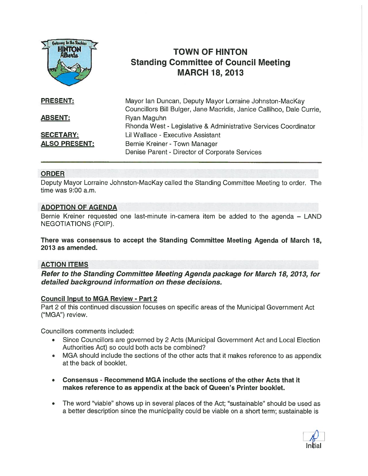

# TOWN OF HINTON Standing Committee of Council Meeting MARCH 18, 2013

| <b>PRESENT:</b>      | Mayor Ian Duncan, Deputy Mayor Lorraine Johnston-MacKay<br>Councillors Bill Bulger, Jane Macridis, Janice Callihoo, Dale Currie, |
|----------------------|----------------------------------------------------------------------------------------------------------------------------------|
| <b>ABSENT:</b>       | Ryan Maguhn<br>Rhonda West - Legislative & Administrative Services Coordinator                                                   |
| <b>SECETARY:</b>     | Lil Wallace - Executive Assistant                                                                                                |
| <b>ALSO PRESENT:</b> | Bernie Kreiner - Town Manager<br>Denise Parent - Director of Corporate Services                                                  |

## ORDER

Deputy Mayor Lorraine Johnston-MacKay called the Standing Committee Meeting to order. The time was 9:00 a.m.

## ADOPTION OF AGENDA

Bernie Kreiner requested one last-minute in-camera item be added to the agenda — LAND NEGOTIATIONS (FOIP).

There was consensus to accep<sup>t</sup> the Standing Committee Meeting Agenda of March 18, 2013 as amended.

## ACTION ITEMS

Refer to the Standing Committee Meeting Agenda package for March 18, 2013, for detailed background information on these decisions.

#### Council Input to MGA Review - Part 2

Part 2 of this continued discussion focuses on specific areas of the Municipal Government Act ("MGA") review.

Councillors comments included:

- Since Councillors are governed by 2 Acts (Municipal Government Act and Local Election Authorities Act) so could both acts be combined?
- • MGA should include the sections of the other acts that it makes reference to as appendix at the back of booklet.
- Consensus Recommend MGA include the sections of the other Acts that it makes reference to as appendix at the back of Queen's Printer booklet.
- $\bullet$  The word 'viable" shows up in several places of the Act; "sustainable" should be used as <sup>a</sup> better description since the municipality could be viable on <sup>a</sup> short term; sustainable is

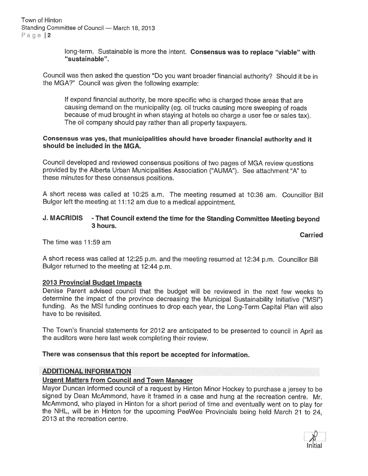long-term. Sustainable is more the intent. Consensus was to replace "viable" with "sustainable".

Council was then asked the question "Do you want broader financial authority? Should it be in the MGA?" Council was <sup>g</sup>iven the following example:

If expan<sup>d</sup> financial authority, be more specific who is charged those areas that are causing demand on the municipality (eg. oil trucks causing more sweeping of roads because of mud brought in when staying at hotels so charge <sup>a</sup> user fee or sales tax). The oil company should pay rather than all property taxpayers.

#### Consensus was yes, that municipalities should have broader financial authority and it should be included in the MGA.

Council developed and reviewed consensus positions of two pages of MGA review questions provided by the Alberta Urban Municipalities Association ("AUMA"). See attachment "A" to these minutes for these consensus positions.

<sup>A</sup> short recess was called at 10:25 a.m. The meeting resumed at 10:36 am. Councillor Bill Bulger left the meeting at 11:12 am due to <sup>a</sup> medical appointment.

## J. MACRIDIS - That Council extend the time for the Standing Committee Meeting beyond 3 hours.

**Carried** 

The time was 11:59 am

<sup>A</sup> short recess was called at 12:25 p.m. and the meeting resumed at 12:34 p.m. Councillor Bill Bulger returned to the meeting at 12:44 p.m.

## 2013 Provincial Budget Impacts

Denise Parent advised council that the budget will be reviewed in the next few weeks to determine the impact of the province decreasing the Municipal Sustainability Initiative ("MSI") funding. As the MSI funding continues to drop each year, the Long-Term Capital Plan will also have to be revisited.

The Town's financial statements for <sup>2012</sup> are anticipated to be presented to council in April as the auditors were here last week completing their review.

## There was consensus that this repor<sup>t</sup> be accepted for information.

## ADDITIONAL INFORMATION

## Urgent Matters from Council and Town Manager

Mayor Duncan informed council of <sup>a</sup> reques<sup>t</sup> by Hinton Minor Hockey to purchase <sup>a</sup> jersey to be signed by Dean McAmmond, have it framed in <sup>a</sup> case and hung at the recreation centre. Mr. McAmmond, who <sup>p</sup>layed in Hinton for <sup>a</sup> short period of time and eventually went on to <sup>p</sup>lay for the NHL, will be in Hinton for the upcoming PeeWee Provincials being held March <sup>21</sup> to 24, 2013 at the recreation centre.